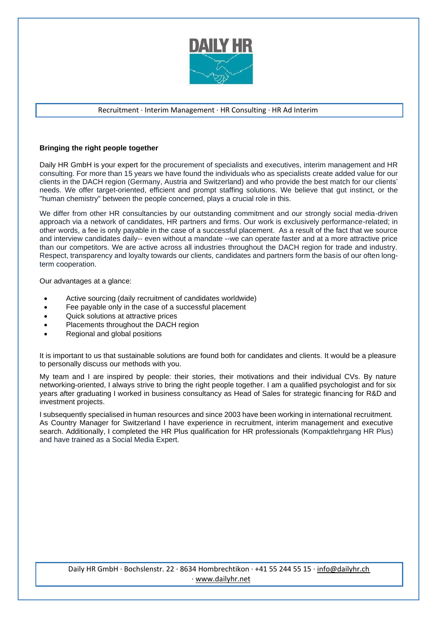

## Recruitment ∙ Interim Management ∙ HR Consulting ∙ HR Ad Interim

## **Bringing the right people together**

Daily HR GmbH is your expert for the procurement of specialists and executives, interim management and HR consulting. For more than 15 years we have found the individuals who as specialists create added value for our clients in the DACH region (Germany, Austria and Switzerland) and who provide the best match for our clients' needs. We offer target-oriented, efficient and prompt staffing solutions. We believe that gut instinct, or the "human chemistry" between the people concerned, plays a crucial role in this.

We differ from other HR consultancies by our outstanding commitment and our strongly social media-driven approach via a network of candidates, HR partners and firms. Our work is exclusively performance-related; in other words, a fee is only payable in the case of a successful placement. As a result of the fact that we source and interview candidates daily-- even without a mandate --we can operate faster and at a more attractive price than our competitors. We are active across all industries throughout the DACH region for trade and industry. Respect, transparency and loyalty towards our clients, candidates and partners form the basis of our often longterm cooperation.

Our advantages at a glance:

- Active sourcing (daily recruitment of candidates worldwide)
- Fee payable only in the case of a successful placement
- Quick solutions at attractive prices
- Placements throughout the DACH region
- Regional and global positions

It is important to us that sustainable solutions are found both for candidates and clients. It would be a pleasure to personally discuss our methods with you.

My team and I are inspired by people: their stories, their motivations and their individual CVs. By nature networking-oriented, I always strive to bring the right people together. I am a qualified psychologist and for six years after graduating I worked in business consultancy as Head of Sales for strategic financing for R&D and investment projects.

I subsequently specialised in human resources and since 2003 have been working in international recruitment. As Country Manager for Switzerland I have experience in recruitment, interim management and executive search. Additionally, I completed the HR Plus qualification for HR professionals (Kompaktlehrgang HR Plus) and have trained as a Social Media Expert.

Daily HR GmbH ∙ Bochslenstr. 22 ∙ 8634 Hombrechtikon ∙ +41 55 244 55 15 ∙ [info@dailyhr.ch](mailto:info@dailyhr.ch)  ∙ [www.dailyhr.net](http://www.dailyhr.net/)